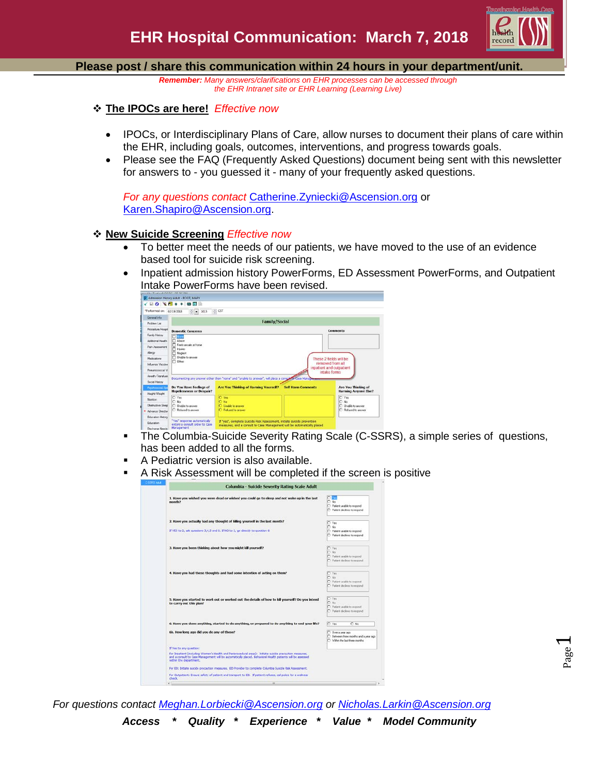

#### **Please post / share this communication within 24 hours in your department/unit.**

*Remember: Many answers/clarifications on EHR processes can be accessed through the EHR Intranet site or EHR Learning (Learning Live)*

- **The IPOCs are here!** *Effective now*
	- IPOCs, or Interdisciplinary Plans of Care, allow nurses to document their plans of care within the EHR, including goals, outcomes, interventions, and progress towards goals.
	- Please see the FAQ (Frequently Asked Questions) document being sent with this newsletter for answers to - you guessed it - many of your frequently asked questions.

*For any questions contact* [Catherine.Zyniecki@Ascension.org](mailto:Catherine.Zyniecki@Ascension.org) or [Karen.Shapiro@Ascension.org.](mailto:Karen.Shapiro@Ascension.org)

#### **New Suicide Screening** *Effective now*

- To better meet the needs of our patients, we have moved to the use of an evidence based tool for suicide risk screening.
- Inpatient admission history PowerForms, ED Assessment PowerForms, and Outpatient Intake PowerForms have been revised.

|                           | P Admission History Adult - ROOT, MARY                        |                                                                                                                                                    |                                          |  |
|---------------------------|---------------------------------------------------------------|----------------------------------------------------------------------------------------------------------------------------------------------------|------------------------------------------|--|
|                           | <b>△图图 ◆ ◆图 ◇ △ 图 ○</b>                                       |                                                                                                                                                    |                                          |  |
| *Performed on: 02/19/2018 | $\frac{1}{2}$ = 1015                                          | CST                                                                                                                                                |                                          |  |
| General Info              |                                                               |                                                                                                                                                    |                                          |  |
| Problem List              | <b>Family/Social</b>                                          |                                                                                                                                                    |                                          |  |
| Procedure/Hospit          | <b>Domestic Concerns</b>                                      |                                                                                                                                                    | Comments                                 |  |
| Family History            | Nane                                                          |                                                                                                                                                    |                                          |  |
| Additional Health         | Abuse                                                         |                                                                                                                                                    |                                          |  |
| Pain Assessment           | Feels unsale at home<br>T travies                             |                                                                                                                                                    |                                          |  |
| <b>Alergy</b>             | Neglect                                                       |                                                                                                                                                    |                                          |  |
| Medications               | <b>ITT</b> Unable to answer<br>These 2 fields will be         |                                                                                                                                                    |                                          |  |
| Influenza Vaccine         | $\Box$ Other:                                                 |                                                                                                                                                    | removed from all                         |  |
| Pneumococcal Vi           |                                                               |                                                                                                                                                    | inpatient and outpatient<br>intake forms |  |
| Anneth/Transfusio         |                                                               | Documenting any answer other than "none" and "unable to answer", will place a consult to Case Management                                           |                                          |  |
| Social History            |                                                               |                                                                                                                                                    |                                          |  |
| Prechosocial/Sn           | Do You Have Feelings of                                       | <b>Are You Thinking of Harming Yourself?</b><br><b>Self Harm Comments</b>                                                                          | Are You Thinking of                      |  |
| Height/Weight             | <b>Hopelessness or Despair?</b>                               |                                                                                                                                                    | <b>Harming Anyone Else?</b>              |  |
| Nutrition                 | O Yes<br>$\cap$ No                                            | O Yes<br>O No.                                                                                                                                     | C Yes<br>$O$ No                          |  |
| Obstructive Sleep         | C Linable to answer                                           | C Unable to annung                                                                                                                                 | C Hoshie to answer                       |  |
| · Advance Directivi       | C Refused to answer                                           | C Refused to answer                                                                                                                                | C Returned to answer                     |  |
|                           |                                                               |                                                                                                                                                    |                                          |  |
| Education Hetory          |                                                               |                                                                                                                                                    |                                          |  |
| Education                 | "Yes" response automaticaly<br>enters a consult order to Case | If "yes", complete Suicide Risk Assessment, initiate suicide prevention<br>measures, and a consult to Case Management will be automatically placed |                                          |  |

- The Columbia-Suicide Severity Rating Scale (C-SSRS), a simple series of questions, has been added to all the forms.
- A Pediatric version is also available.
- A Risk Assessment will be completed if the screen is positive

| <b>JPS Asit</b> |                                                                                                                                                                                                                                                 |                                                                                              |  |  |  |  |
|-----------------|-------------------------------------------------------------------------------------------------------------------------------------------------------------------------------------------------------------------------------------------------|----------------------------------------------------------------------------------------------|--|--|--|--|
|                 | Columbia - Suicide Severity Rating Scale Adult                                                                                                                                                                                                  |                                                                                              |  |  |  |  |
|                 | 1. Have you wished you were dead or wished you could go to sleep and not wake up in the last<br>month?                                                                                                                                          | $\cap$ .<br>$C$ No<br>C Patient unable to recogned<br>C Patient declines to respond          |  |  |  |  |
|                 | 2. Have you actually had any thought of killing yourself in the last month?                                                                                                                                                                     | C Yas                                                                                        |  |  |  |  |
|                 | If YES to 2, ask questions 3,4,5 and 6. If NO to 2, go directly to question 6                                                                                                                                                                   | $0$ No.<br>C Patient unable to respond<br>C Patient declines to respond                      |  |  |  |  |
|                 | 3. Have you been thinking about how you might kill yourself?                                                                                                                                                                                    | C Yan                                                                                        |  |  |  |  |
|                 |                                                                                                                                                                                                                                                 | $C$ No.<br>C Patient unable to recognd<br>C Patient declines to respond                      |  |  |  |  |
|                 | 4. Have you had these thoughts and had some intention of acting on them?                                                                                                                                                                        | C Yes<br>$C$ No<br>C Patient unable to respond<br>C Patient declines to respond              |  |  |  |  |
|                 | 5. Have you started to work out or worked out the details of how to kill yourself? Do you intend<br>to carry out this plan?                                                                                                                     | C Vas<br>$C$ No<br>C Patient unable to respond<br>C Patient declines to respond              |  |  |  |  |
|                 | 6. Have you done anything, started to do anything, or prepared to do anything to end your life?                                                                                                                                                 | $\cap$ No.<br>C Yes                                                                          |  |  |  |  |
|                 | 6b. How long ago did you do any of these?                                                                                                                                                                                                       | O Over a year ago<br>C Between three months and a year ago<br>C Within the last three months |  |  |  |  |
|                 | If Yes to any question:                                                                                                                                                                                                                         |                                                                                              |  |  |  |  |
|                 | For Inpatient (including Women's Health and Perprocedural areas): Initiate suicide precaution measures,<br>and a consult to Case Management will be automatically placed. Behavioral Health patients will be assessed<br>within the department. |                                                                                              |  |  |  |  |
|                 | For ED: Initiate suicide precaution measures. ED Provider to complete Columbia Suicide Risk Assessment.                                                                                                                                         |                                                                                              |  |  |  |  |
|                 | For Outpatient: Ensure safety of patient and transport to ED. If patient refuses, cal police for a welness<br>check.                                                                                                                            |                                                                                              |  |  |  |  |

*For questions contact [Meghan.Lorbiecki@Ascension.org](mailto:Meghan.Lorbiecki@Ascension.org) or [Nicholas.Larkin@Ascension.org](mailto:Nicholas.Larkin@Ascension.org)*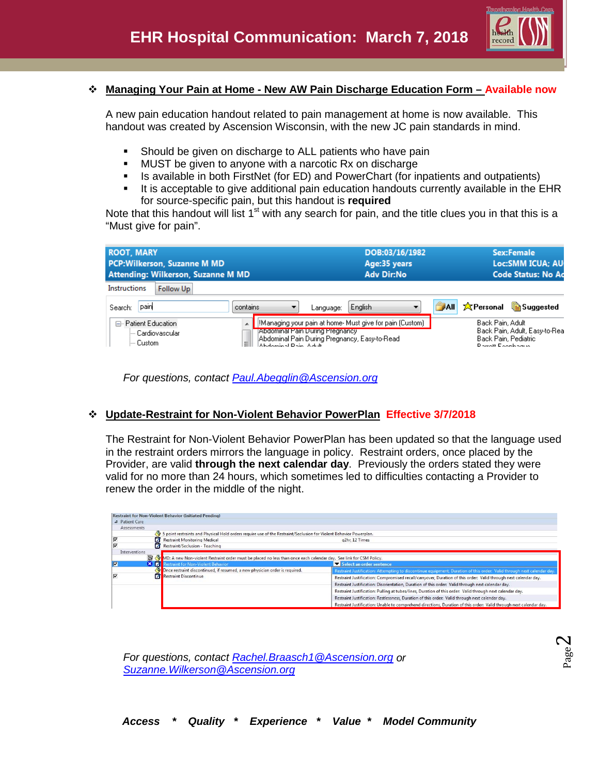

## **Managing Your Pain at Home - New AW Pain Discharge Education Form – Available now**

A new pain education handout related to pain management at home is now available. This handout was created by Ascension Wisconsin, with the new JC pain standards in mind.

- **Should be given on discharge to ALL patients who have pain**
- MUST be given to anyone with a narcotic Rx on discharge
- **IF** Is available in both FirstNet (for ED) and PowerChart (for inpatients and outpatients)
- It is acceptable to give additional pain education handouts currently available in the EHR for source-specific pain, but this handout is **required**

Note that this handout will list  $1<sup>st</sup>$  with any search for pain, and the title clues you in that this is a "Must give for pain".

| <b>ROOT, MARY</b><br><b>PCP:Wilkerson, Suzanne M MD</b><br>Attending: Wilkerson, Suzanne M MD |                                                                                          |           | DOB:03/16/1982<br>Age:35 years<br><b>Adv Dir:No</b>                                                        |       | <b>Sex:Female</b><br>Loc:SMM ICUA; AU<br><b>Code Status: No Ad</b> |                                                        |
|-----------------------------------------------------------------------------------------------|------------------------------------------------------------------------------------------|-----------|------------------------------------------------------------------------------------------------------------|-------|--------------------------------------------------------------------|--------------------------------------------------------|
| Instructions<br><b>Follow Up</b>                                                              |                                                                                          |           |                                                                                                            |       |                                                                    |                                                        |
| pain<br>Search:                                                                               | contains                                                                                 | Language: | English                                                                                                    | الملت | 文Personal                                                          | <b>Suggested</b>                                       |
| ⊟- Patient Education<br>i— Cardiovascular<br>l— Custom.                                       | Abdominal Pain During Pregnancy<br>Ξ<br>$\Lambda$ is absorbed in Fig. , $\Lambda$ at the |           | [!Managing your pain at home- Must give for pain (Custom)<br>Abdominal Pain During Pregnancy, Easy-to-Read |       | Back Pain, Adult<br>District Experience                            | Back Pain, Adult, Easy-to-Real<br>Back Pain, Pediatric |

*For questions, contact [Paul.Abegglin@Ascension.org](mailto:Paul.Abegglin@Ascension.org)*

## **Update-Restraint for Non-Violent Behavior PowerPlan Effective 3/7/2018**

The Restraint for Non-Violent Behavior PowerPlan has been updated so that the language used in the restraint orders mirrors the language in policy. Restraint orders, once placed by the Provider, are valid **through the next calendar day**. Previously the orders stated they were valid for no more than 24 hours, which sometimes led to difficulties contacting a Provider to renew the order in the middle of the night.

|   | 4 Patient Care                                                                                                     |                                                                                                                       |
|---|--------------------------------------------------------------------------------------------------------------------|-----------------------------------------------------------------------------------------------------------------------|
|   | Assessments                                                                                                        |                                                                                                                       |
|   | 5 point restraints and Physical Hold orders require use of the Restraint/Seclusion for Violent Behavior Powerplan. |                                                                                                                       |
|   | <b>Restraint Monitoring Medical</b>                                                                                | g2hr. 12 Times                                                                                                        |
|   | Restraint/Seclusion - Teaching                                                                                     |                                                                                                                       |
|   | Interventions                                                                                                      |                                                                                                                       |
|   | MD: A new Non-violent Restraint order must be placed no less than once each calendar day. See link for CSM Policy. |                                                                                                                       |
| ⊽ | $\bm{x}$ $\bm{z}$<br>estraint for Non-Violent Behavior                                                             | Select an order sentence                                                                                              |
|   | Once restraint discontinued, if resumed, a new physician order is required.                                        | Restraint Justification: Attempting to discontinue equipment, Duration of this order: Valid through next calendar day |
| ⊽ | Restraint Discontinue                                                                                              | Restraint Justification: Compromised recall/carryover, Duration of this order: Valid through next calendar day.       |
|   |                                                                                                                    | Restraint Justification: Disorientation, Duration of this order: Valid through next calendar day.                     |
|   |                                                                                                                    | Restraint Justification: Pulling at tubes/lines, Duration of this order: Valid through next calendar day.             |
|   |                                                                                                                    |                                                                                                                       |
|   |                                                                                                                    | Restraint Justification: Restlessness, Duration of this order: Valid through next calendar day.                       |

*For questions, contact [Rachel.Braasch1@Ascension.org](mailto:Rachel.Braasch1@Ascension.org) or [Suzanne.Wilkerson@Ascension.org](mailto:Suzanne.Wilkerson@Ascension.org)*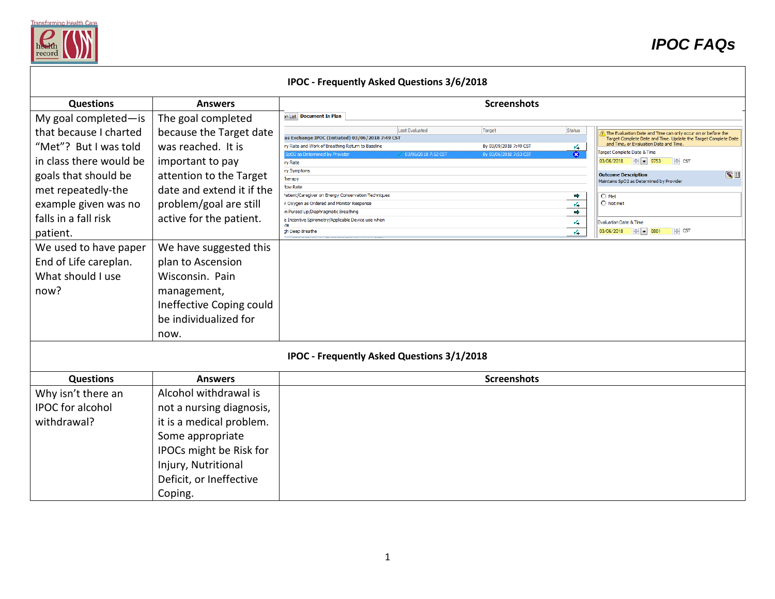

|                                                                                                                                                                                                                                                                     |                                                                                                                                                                                                                                                                                             | <b>IPOC - Frequently Asked Questions 3/6/2018</b>                                                                                                                                                                                                                                                                                                                                                                                                              |                                                                                                                                                                                                                                                                                                                                                                                                                                                                                                                                                                                                                                                                                |
|---------------------------------------------------------------------------------------------------------------------------------------------------------------------------------------------------------------------------------------------------------------------|---------------------------------------------------------------------------------------------------------------------------------------------------------------------------------------------------------------------------------------------------------------------------------------------|----------------------------------------------------------------------------------------------------------------------------------------------------------------------------------------------------------------------------------------------------------------------------------------------------------------------------------------------------------------------------------------------------------------------------------------------------------------|--------------------------------------------------------------------------------------------------------------------------------------------------------------------------------------------------------------------------------------------------------------------------------------------------------------------------------------------------------------------------------------------------------------------------------------------------------------------------------------------------------------------------------------------------------------------------------------------------------------------------------------------------------------------------------|
| <b>Questions</b>                                                                                                                                                                                                                                                    | <b>Answers</b>                                                                                                                                                                                                                                                                              |                                                                                                                                                                                                                                                                                                                                                                                                                                                                | <b>Screenshots</b>                                                                                                                                                                                                                                                                                                                                                                                                                                                                                                                                                                                                                                                             |
| My goal completed-is                                                                                                                                                                                                                                                | The goal completed                                                                                                                                                                                                                                                                          | on List Document In Plan                                                                                                                                                                                                                                                                                                                                                                                                                                       |                                                                                                                                                                                                                                                                                                                                                                                                                                                                                                                                                                                                                                                                                |
| that because I charted<br>"Met"? But I was told<br>in class there would be<br>goals that should be<br>met repeatedly-the<br>example given was no<br>falls in a fall risk<br>patient.<br>We used to have paper<br>End of Life careplan.<br>What should I use<br>now? | because the Target date<br>was reached. It is<br>important to pay<br>attention to the Target<br>date and extend it if the<br>problem/goal are still<br>active for the patient.<br>We have suggested this<br>plan to Ascension<br>Wisconsin. Pain<br>management,<br>Ineffective Coping could | Last Evaluated<br>Target<br>as Exchange IPOC (Initiated) 03/06/2018 7:49 CST<br>ry Rate and Work of Breathing Return to Baseline<br>pO2 as Determined by Provider<br>√ 03/06/2018 7:52 CST<br>ry Rate<br>ry Symptoms<br>herapy<br>low Rate<br>'atient/Caregiver on Energy Conservation Techniques<br>r Oxygen as Ordered and Monitor Response<br>in Pursed Lip/Diaphragmatic Breathing<br>e Incentive Spirometry/Applicable Device use when<br>gh Deep Breathe | Status<br>The Evaluation Date and Time can only occur on or before the<br>Target Complete Date and Time. Update the Target Complete Date<br>and Time, or Evaluation Date and Time.<br>By 03/09/2018 7:49 CST<br>$\sqrt{2}$<br>Farget Complete Date & Time<br>$\bullet$<br>By 03/06/2018 7:53 CST<br>$03/06/2018$ $\div$ $\boxed{9}$ 0753<br>$\Leftrightarrow$ CST<br>$\sim$ $\blacksquare$<br><b>Outcome Description</b><br>Maintains SpO2 as Determined by Provider<br>$\Rightarrow$<br>$O$ Met<br>$\bigcirc$ Not met<br>4<br>$\Rightarrow$<br>v,<br>Evaluation Date & Time<br>$03/06/2018$ $\div$ $\div$ 0801<br>$\left\Vert \div\right\Vert$ CST<br>$\mathcal{L}_{\bullet}$ |
|                                                                                                                                                                                                                                                                     | be individualized for<br>now.                                                                                                                                                                                                                                                               |                                                                                                                                                                                                                                                                                                                                                                                                                                                                |                                                                                                                                                                                                                                                                                                                                                                                                                                                                                                                                                                                                                                                                                |
|                                                                                                                                                                                                                                                                     |                                                                                                                                                                                                                                                                                             | <b>IPOC - Frequently Asked Questions 3/1/2018</b>                                                                                                                                                                                                                                                                                                                                                                                                              |                                                                                                                                                                                                                                                                                                                                                                                                                                                                                                                                                                                                                                                                                |
| <b>Questions</b>                                                                                                                                                                                                                                                    | <b>Answers</b>                                                                                                                                                                                                                                                                              |                                                                                                                                                                                                                                                                                                                                                                                                                                                                | <b>Screenshots</b>                                                                                                                                                                                                                                                                                                                                                                                                                                                                                                                                                                                                                                                             |
| Why isn't there an<br><b>IPOC</b> for alcohol<br>withdrawal?                                                                                                                                                                                                        | Alcohol withdrawal is<br>not a nursing diagnosis,<br>it is a medical problem.<br>Some appropriate<br>IPOCs might be Risk for<br>Injury, Nutritional<br>Deficit, or Ineffective<br>Coping.                                                                                                   |                                                                                                                                                                                                                                                                                                                                                                                                                                                                |                                                                                                                                                                                                                                                                                                                                                                                                                                                                                                                                                                                                                                                                                |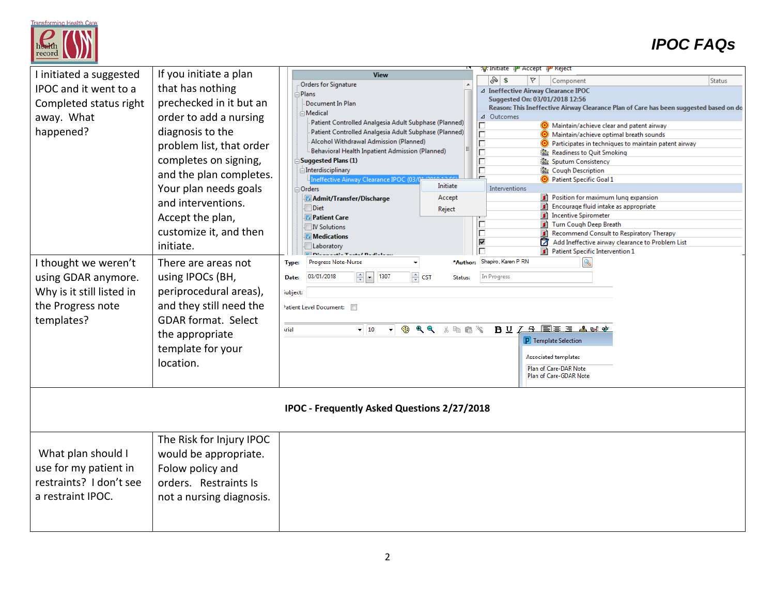

# *IPOC FAQs*

| I initiated a suggested                            | If you initiate a plan     | V <mark>y</mark> : Initiate 『 <mark>』</mark> " Accept 『』" Keject<br><b>View</b><br>৯∣ \$<br>A.<br><b>Status</b>                                        |  |  |
|----------------------------------------------------|----------------------------|--------------------------------------------------------------------------------------------------------------------------------------------------------|--|--|
| IPOC and it went to a                              | that has nothing           | Component<br>Orders for Signature<br>△ Ineffective Airway Clearance IPOC                                                                               |  |  |
| Completed status right                             | prechecked in it but an    | <b>Plans</b><br>Suggested On: 03/01/2018 12:56<br>Document In Plan                                                                                     |  |  |
|                                                    |                            | Reason: This Ineffective Airway Clearance Plan of Care has been suggested based on do<br>Medical                                                       |  |  |
| away. What                                         | order to add a nursing     | Outcomes<br>$\Delta$<br>Patient Controlled Analgesia Adult Subphase (Planned)<br>Maintain/achieve clear and patent airway                              |  |  |
| happened?                                          | diagnosis to the           | Patient Controlled Analgesia Adult Subphase (Planned)<br>$\overline{\Box}$<br>Maintain/achieve optimal breath sounds                                   |  |  |
|                                                    | problem list, that order   | Alcohol Withdrawal Admission (Planned)<br>Г<br>Participates in techniques to maintain patent airway<br>Behavioral Health Inpatient Admission (Planned) |  |  |
|                                                    | completes on signing,      | $\Box$<br>儡 Readiness to Quit Smoking<br>Suggested Plans (1)<br>Г<br>将。Sputum Consistency                                                              |  |  |
|                                                    | and the plan completes.    | г<br><b>interdisciplinary</b><br><b>攝 Cough Description</b>                                                                                            |  |  |
|                                                    | Your plan needs goals      | neffective Airway Clearance IPOC ((<br>Patient Specific Goal 1<br>Initiate<br>Interventions<br>Orders                                                  |  |  |
|                                                    |                            | Accept<br>Position for maximum lung expansion<br><b>Admit/Transfer/Discharge</b>                                                                       |  |  |
|                                                    | and interventions.         | ΠÌ<br>Encourage fluid intake as appropriate<br><b>Diet</b><br>Reject                                                                                   |  |  |
|                                                    | Accept the plan,           | <b>Incentive Spirometer</b><br><b>D</b> Patient Care                                                                                                   |  |  |
|                                                    | customize it, and then     | Turn Cough Deep Breath<br><b>N</b> Solutions<br>Recommend Consult to Respiratory Therapy                                                               |  |  |
|                                                    | initiate.                  | <b>Medications</b><br>⊽<br>Add Ineffective airway clearance to Problem List<br>М<br>Laboratory                                                         |  |  |
|                                                    |                            | Patient Specific Intervention 1                                                                                                                        |  |  |
| I thought we weren't                               | There are areas not        | Shapiro, Karen P RN<br><b>Progress Note-Nurse</b><br>*Author:<br>Type:                                                                                 |  |  |
| using GDAR anymore.                                | using IPOCs (BH,           | ≑ cst<br>03/01/2018<br>$\frac{4}{5}$ - 1307<br>In Progress<br>Date:<br>Status:                                                                         |  |  |
| Why is it still listed in                          | periprocedural areas),     | iubject:                                                                                                                                               |  |  |
| the Progress note                                  | and they still need the    | Patient Level Document:                                                                                                                                |  |  |
| templates?                                         | <b>GDAR format. Select</b> |                                                                                                                                                        |  |  |
|                                                    | the appropriate            | $B \cup I$ $S$ $E \equiv E$ $A$ of $\Phi$<br>$\mathbb{R}$ Q $\mathbb{R}$ is a $\mathbb{C}$<br><b>CRI</b><br>krial<br>$-10$                             |  |  |
|                                                    | template for your          | P Template Selection                                                                                                                                   |  |  |
|                                                    |                            | Associated templates                                                                                                                                   |  |  |
|                                                    | location.                  | Plan of Care-DAR Note                                                                                                                                  |  |  |
|                                                    |                            | Plan of Care-GDAR Note                                                                                                                                 |  |  |
| <b>IPOC - Frequently Asked Questions 2/27/2018</b> |                            |                                                                                                                                                        |  |  |
|                                                    | The Risk for Injury IPOC   |                                                                                                                                                        |  |  |
| What plan should I                                 | would be appropriate.      |                                                                                                                                                        |  |  |
|                                                    |                            |                                                                                                                                                        |  |  |
| use for my patient in                              | Folow policy and           |                                                                                                                                                        |  |  |
| restraints? I don't see                            | orders. Restraints Is      |                                                                                                                                                        |  |  |
| a restraint IPOC.                                  | not a nursing diagnosis.   |                                                                                                                                                        |  |  |
|                                                    |                            |                                                                                                                                                        |  |  |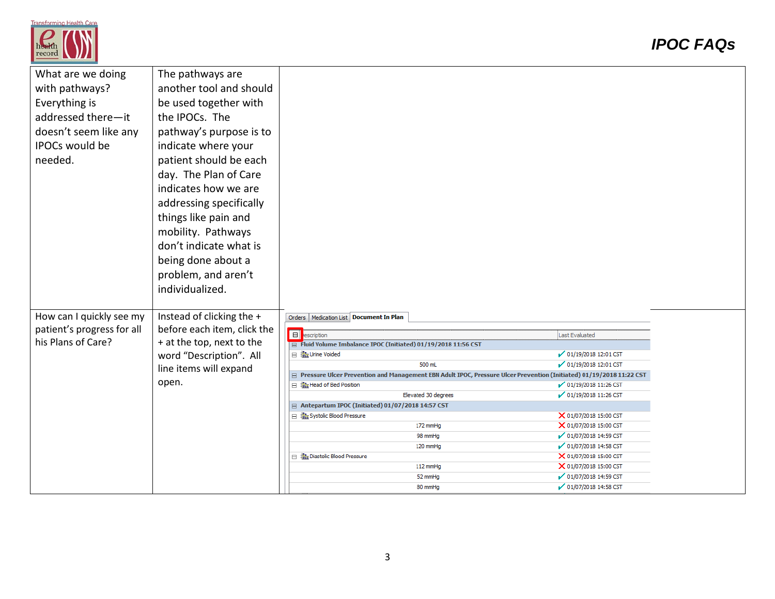

| What are we doing          | The pathways are            |                                                                                                                       |                        |
|----------------------------|-----------------------------|-----------------------------------------------------------------------------------------------------------------------|------------------------|
| with pathways?             | another tool and should     |                                                                                                                       |                        |
| Everything is              | be used together with       |                                                                                                                       |                        |
|                            |                             |                                                                                                                       |                        |
| addressed there-it         | the IPOCs. The              |                                                                                                                       |                        |
| doesn't seem like any      | pathway's purpose is to     |                                                                                                                       |                        |
| IPOCs would be             | indicate where your         |                                                                                                                       |                        |
| needed.                    | patient should be each      |                                                                                                                       |                        |
|                            | day. The Plan of Care       |                                                                                                                       |                        |
|                            | indicates how we are        |                                                                                                                       |                        |
|                            | addressing specifically     |                                                                                                                       |                        |
|                            | things like pain and        |                                                                                                                       |                        |
|                            | mobility. Pathways          |                                                                                                                       |                        |
|                            | don't indicate what is      |                                                                                                                       |                        |
|                            | being done about a          |                                                                                                                       |                        |
|                            | problem, and aren't         |                                                                                                                       |                        |
|                            |                             |                                                                                                                       |                        |
|                            | individualized.             |                                                                                                                       |                        |
|                            |                             |                                                                                                                       |                        |
| How can I quickly see my   | Instead of clicking the +   | Orders   Medication List   Document In Plan                                                                           |                        |
| patient's progress for all | before each item, click the | E<br>escription                                                                                                       | Last Evaluated         |
| his Plans of Care?         | + at the top, next to the   | Fluid Volume Imbalance IPOC (Initiated) 01/19/2018 11:56 CST                                                          |                        |
|                            | word "Description". All     | <b>⊟ : illa</b> Urine Voided                                                                                          | 01/19/2018 12:01 CST   |
|                            | line items will expand      | 500 mL                                                                                                                | 01/19/2018 12:01 CST   |
|                            | open.                       | □ Pressure Ulcer Prevention and Management EBN Adult IPOC, Pressure Ulcer Prevention (Initiated) 01/19/2018 11:22 CST |                        |
|                            |                             | ⊟ 端 Head of Bed Position                                                                                              | 01/19/2018 11:26 CST   |
|                            |                             | Elevated 30 degrees<br>$\equiv$ Antepartum IPOC (Initiated) 01/07/2018 14:57 CST                                      | 01/19/2018 11:26 CST   |
|                            |                             | 日 : 名 Systolic Blood Pressure                                                                                         | X 01/07/2018 15:00 CST |
|                            |                             | 172 mmHq                                                                                                              | X 01/07/2018 15:00 CST |
|                            |                             | 98 mmHa                                                                                                               | 01/07/2018 14:59 CST   |
|                            |                             | 120 mmHg                                                                                                              | √ 01/07/2018 14:58 CST |
|                            |                             | 日 将 Diastolic Blood Pressure                                                                                          | X 01/07/2018 15:00 CST |
|                            |                             | 112 mmHq                                                                                                              | X 01/07/2018 15:00 CST |
|                            |                             | 52 mmHg                                                                                                               | 01/07/2018 14:59 CST   |
|                            |                             | 80 mmHg                                                                                                               | 01/07/2018 14:58 CST   |